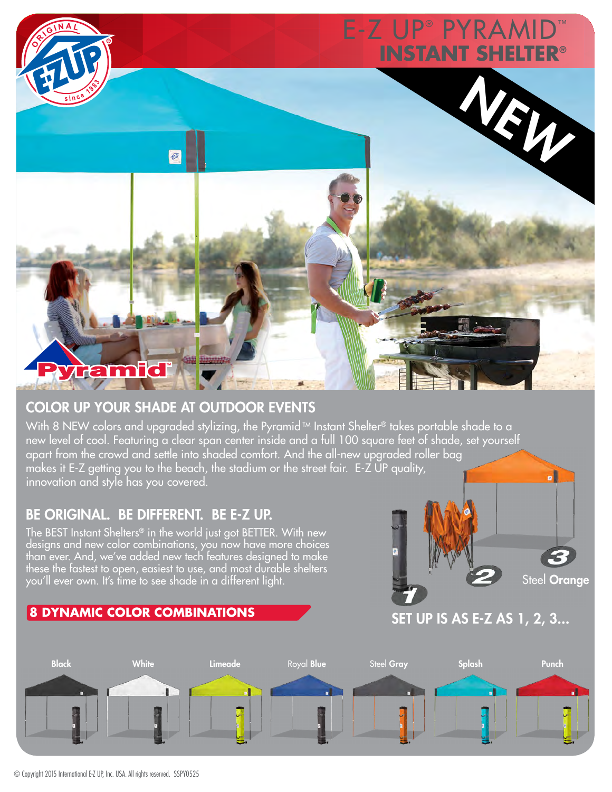

## COLOR UP YOUR SHADE AT OUTDOOR EVENTS

With 8 NEW colors and upgraded stylizing, the Pyramid™ Instant Shelter® takes portable shade to a new level of cool. Featuring a clear span center inside and a full 100 square feet of shade, set yourself apart from the crowd and settle into shaded comfort. And the all-new upgraded roller bag makes it E-Z getting you to the beach, the stadium or the street fair. E-Z UP quality, innovation and style has you covered.

## BE ORIGINAL. BE DIFFERENT. BE E-Z UP.

The BEST Instant Shelters® in the world just got BETTER. With new designs and new color combinations, you now have more choices than ever. And, we've added new tech features designed to make these the fastest to open, easiest to use, and most durable shelters you'll ever own. It's time to see shade in a different light.



Steel Orange